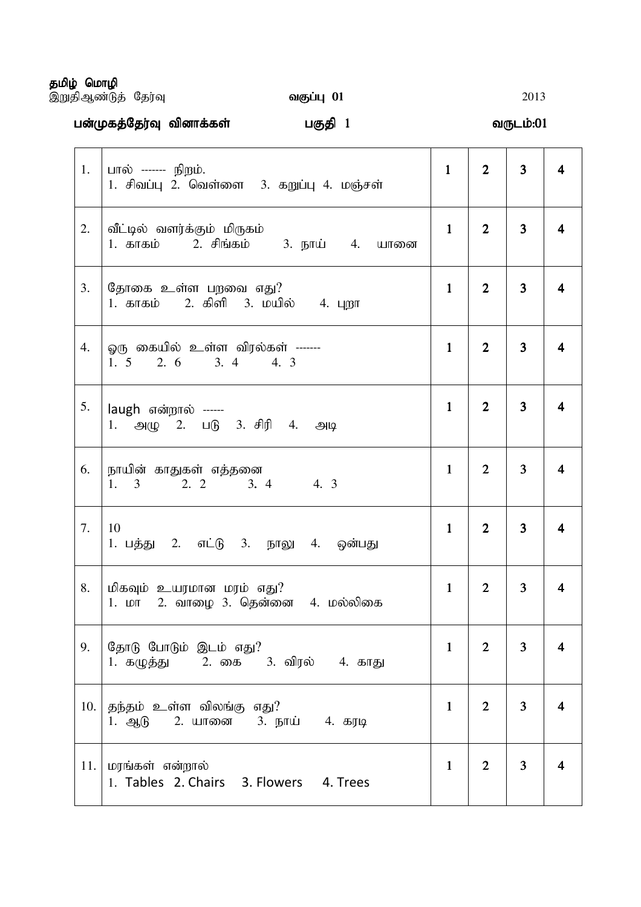தமிழ் மொழி

,WjpMz;Lj; Nju;T tFg;G 01 tFg;G 01 01 2013

gd;Kfj;Nju;T tpdhf;fs tpdhf;fs tpdhf;fs; ; gFjp 1 tUlk;:01 tUlk;:01 tUlk;:01

| 1.  | பால் ------- நி <u>ற</u> ம்.<br>1. சிவப்பு 2. வெள்ளை 3. கறுப்பு 4. மஞ்சள்               | $\mathbf{1}$ | $\overline{2}$ | $\overline{3}$ | 4                       |
|-----|-----------------------------------------------------------------------------------------|--------------|----------------|----------------|-------------------------|
| 2.  | வீட்டில் வளர்க்கும் மிருகம்<br>1. காகம்       2. சிங்கம்        3. நாய்      4.    யானை | $\mathbf{1}$ | $\overline{2}$ | 3              | $\overline{\mathbf{4}}$ |
| 3.  | தோகை உள்ள பறவை எது?<br>1. காகம் 2. கிளி 3. மயில் 4. புறா                                | $\mathbf{1}$ | $\overline{2}$ | 3              | $\overline{\mathbf{4}}$ |
| 4.  | ஓரு கையில் உள்ள விரல்கள் -------<br>2. 6 3. 4 4. 3<br>1, 5                              | $\mathbf{1}$ | $\overline{2}$ | 3              | 4                       |
| 5.  | laugh என்றால் ------<br>1. அழு 2. படு 3. சிரி 4. அடி                                    | $\mathbf{1}$ | $\overline{2}$ | 3              | $\overline{\mathbf{4}}$ |
| 6.  | நாயின் காதுகள் எத்தனை<br>4.3<br>1.<br>2. 2 3. 4<br>$3 \left( \frac{1}{2} \right)$       | $\mathbf{1}$ | $\overline{2}$ | 3              | $\overline{\mathbf{4}}$ |
| 7.  | 10<br>1. பத்து 2. எட்டு 3. நாலு 4. ஒன்பது                                               | $\mathbf{1}$ | $\overline{2}$ | 3              | $\overline{\mathbf{4}}$ |
| 8.  | மிகவும் உயரமான மரம் எது?<br>1. மா 2. வாழை 3. தென்னை 4. மல்லிகை                          | $\mathbf{1}$ | $\overline{2}$ | 3              | 4                       |
| 9.  | தோடு போடும் இடம் எது?<br>1. கழுத்து      2. கை    3. விரல்     4. காது                  | $\mathbf{1}$ | $\overline{2}$ | 3              | $\overline{\mathbf{4}}$ |
| 10. | தந்தம் உள்ள விலங்கு எது?<br>1. ஆடு 2. யானை 3. நாய் 4. கரடி                              | $\mathbf{1}$ | $\overline{2}$ | 3              | $\overline{\mathbf{4}}$ |
| 11. | மரங்கள் என்றால்<br>1. Tables 2. Chairs 3. Flowers 4. Trees                              | $\mathbf{1}$ | $\overline{2}$ | 3              | $\overline{\mathbf{4}}$ |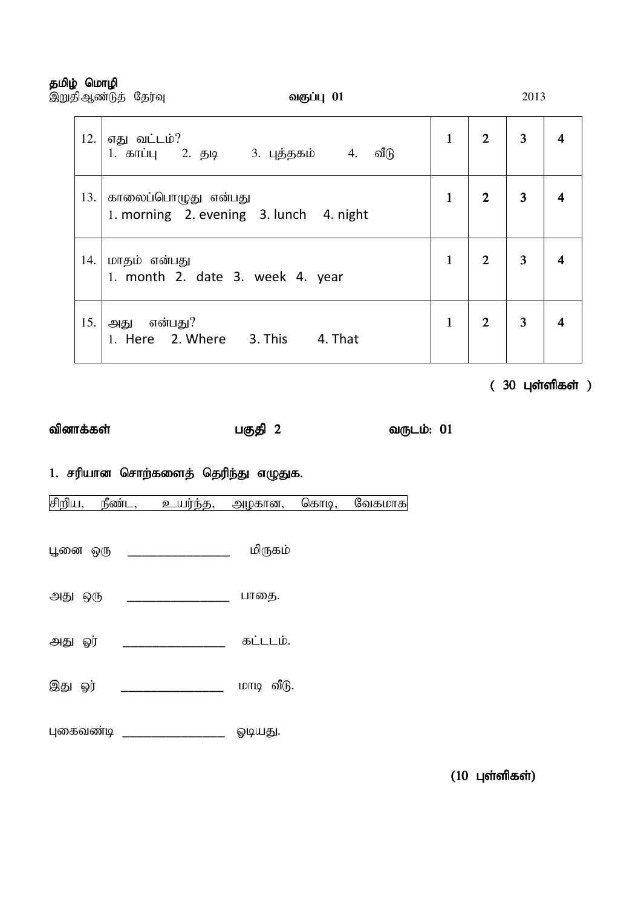#### தமிழ் மொழி

|     | இறுதிஆண்டுத் தேர்வு<br>வகுப்பு 01                              |              | 2013           |                |  |  |
|-----|----------------------------------------------------------------|--------------|----------------|----------------|--|--|
| 12. | எது வட்டம்?<br>வீடு                                            | $\mathbf{1}$ | $2^{\circ}$    | 3              |  |  |
| 13. | காலைப்பொழுது என்பது<br>1. morning 2. evening 3. lunch 4. night | $\mathbf{1}$ | $\overline{2}$ | 3              |  |  |
| 14. | மாதம் என்பது<br>1. month 2. date 3. week 4. year               |              | $2^{\circ}$    | $\overline{3}$ |  |  |
| 15. | அது என்பது?<br>1. Here 2. Where 3. This<br>4. That             | $\mathbf{1}$ | $\overline{2}$ | $\overline{3}$ |  |  |

 $(30 \text{ L} \cdot \text{C} \cdot \text{S} \cdot \text{D} \cdot \text{D} \cdot \text{D} \cdot \text{D} \cdot \text{D} \cdot \text{D} \cdot \text{D} \cdot \text{D} \cdot \text{D} \cdot \text{D} \cdot \text{D} \cdot \text{D} \cdot \text{D} \cdot \text{D} \cdot \text{D} \cdot \text{D} \cdot \text{D} \cdot \text{D} \cdot \text{D} \cdot \text{D} \cdot \text{D} \cdot \text{D} \cdot \text{D} \cdot \text{D} \cdot \text{D} \cdot \text{D} \cdot \text{D} \cdot \text{D} \$ 

tpdhf;fs; gFjp 2 gFjp 2 tUlk;: 01 tUlk;: 01 tUlk;: 01

1. சரியான சொற்களைத் தெரிந்து எழுதுக.

சிறிய, நீண்ட, உயர்ந்த, அழகான, கொடி, வேகமாக

- பூனை ஒரு \_\_\_\_\_\_\_\_\_\_\_\_\_\_\_\_\_\_\_\_ மிருகம்
- அது ஒரு \_\_\_\_\_\_\_\_\_\_\_\_\_\_\_\_\_ பாதை.
- அது ஓர் \_\_\_\_\_\_\_\_\_\_\_\_\_\_\_\_\_ கட்டடம்.
- இது ஓர் \_\_\_\_\_\_\_\_\_\_\_\_\_\_\_\_\_ மாடி வீடு.
- புகைவண்டி \_\_\_\_\_\_\_\_\_\_\_\_\_\_\_\_\_ ஓடியது.

 $(10 \text{ L}$ ள்ளிகள்)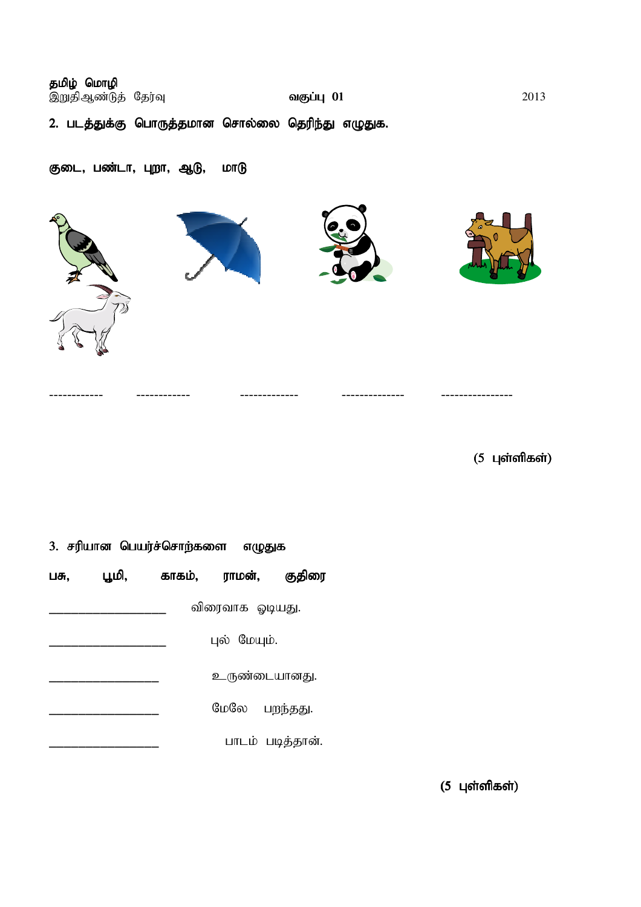| தமிழ் மொழி<br>இறுதிஆண்டுத் தேர்வு |                                                  | வகுப்பு 01 | 2013 |
|-----------------------------------|--------------------------------------------------|------------|------|
|                                   | 2. படத்துக்கு பொருத்தமான சொல்லை தெரிந்து எழுதுக. |            |      |

------------ ------------ ------------- -------------- ----------------

## குடை, பண்டா, புறா, ஆடு, மாடு





 $(5 \;$ புள்ளிகள்)

| 3. சரியான பெயர்ச்சொற்களை எழுதுக |       |        |                 |                  |
|---------------------------------|-------|--------|-----------------|------------------|
| பசு,                            | பூமி, | காகம், | ராமன்,          | குதிரை           |
|                                 |       |        | விரைவாக ஓடியது. |                  |
|                                 |       |        | புல் மேயும்.    |                  |
|                                 |       |        |                 | உருண்டையானது.    |
|                                 |       |        | மேலே            | பறந்தது.         |
|                                 |       |        |                 | பாடம் படித்தான். |

 $(5 \;$ புள்ளிகள்)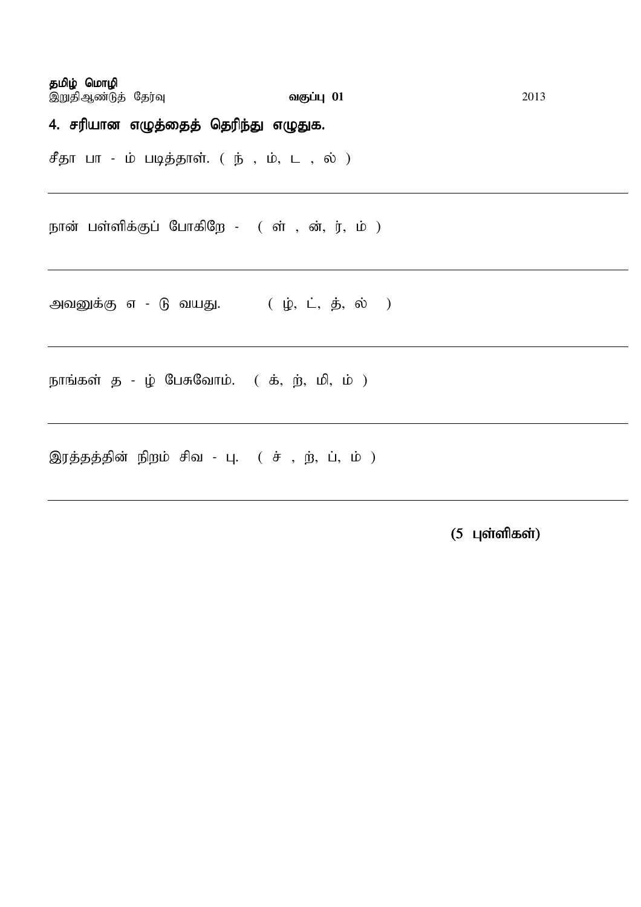தமிழ் மொழி ,WjpMz;Lj; Nju;T tFg;G 01 tFg;G 01 01 2013 4. சரியான எழுத்தைத் தெரிந்து எழுதுக. சீதா பா - ம் படித்தாள். ( ந் , ம், ட , ல் ) நான் பள்ளிக்குப் போகிறே - ( ள் , ன், ர், ம் ) அவனுக்கு எ - டு வயது.  $( \dot{\psi}, \dot{\mathsf{L}}, \dot{\mathsf{B}}, \dot{\mathsf{w}} )$ நாங்கள் த - ழ் பேசுவோம்.  $($  க், ற், மி, ம்  $)$ 

இரத்தத்தின் நிறம் சிவ - பு.  $($  ச் , ற், ப், ம்  $)$ 

 $(5 \;$  புள்ளிகள்)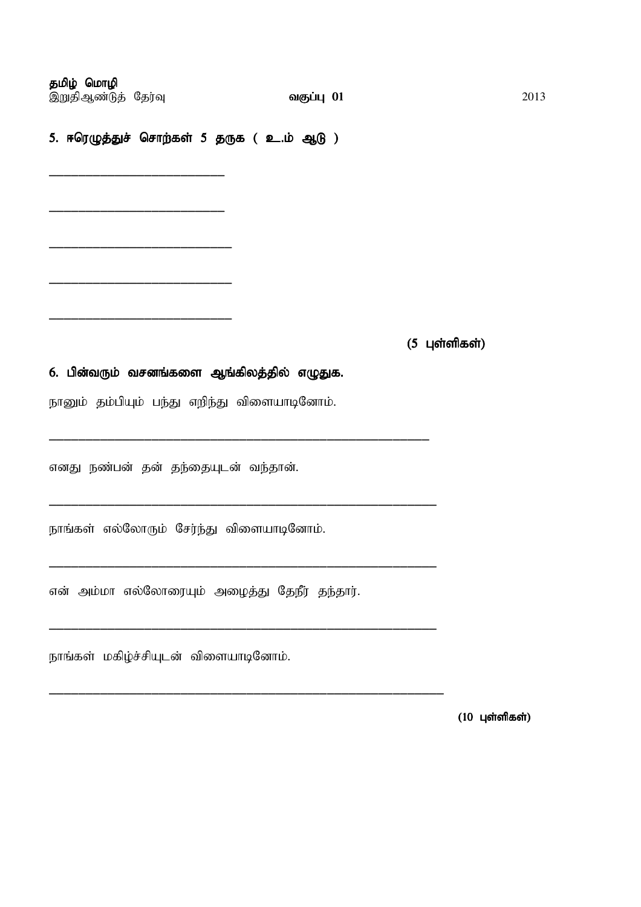தமிழ் மொழி ,WjpMz;Lj; Nju;T tFg;G 01 tFg;G 01 01 2013

\_\_\_\_\_\_\_\_\_\_\_\_\_\_\_\_\_\_\_\_\_\_\_\_

\_\_\_\_\_\_\_\_\_\_\_\_\_\_\_\_\_\_\_\_\_\_\_\_

\_\_\_\_\_\_\_\_\_\_\_\_\_\_\_\_\_\_\_\_\_\_\_\_\_

\_\_\_\_\_\_\_\_\_\_\_\_\_\_\_\_\_\_\_\_\_\_\_\_\_

\_\_\_\_\_\_\_\_\_\_\_\_\_\_\_\_\_\_\_\_\_\_\_\_\_

5. ஈரெழுத்துச் சொற்கள் 5 தருக ( உ.ம் ஆடு )

 $(5 \;$ புள்ளிகள்)

#### 6. பின்வரும் வசனங்களை ஆங்கிலத்தில் எழுதுக.

நானும் தம்பியும் பந்து எறிந்து விளையாடினோம்.

\_\_\_\_\_\_\_\_\_\_\_\_\_\_\_\_\_\_\_\_\_\_\_\_\_\_\_\_\_\_\_\_\_\_\_\_\_\_\_\_\_\_\_\_\_\_\_\_\_\_\_\_

\_\_\_\_\_\_\_\_\_\_\_\_\_\_\_\_\_\_\_\_\_\_\_\_\_\_\_\_\_\_\_\_\_\_\_\_\_\_\_\_\_\_\_\_\_\_\_\_\_\_\_\_\_

\_\_\_\_\_\_\_\_\_\_\_\_\_\_\_\_\_\_\_\_\_\_\_\_\_\_\_\_\_\_\_\_\_\_\_\_\_\_\_\_\_\_\_\_\_\_\_\_\_\_\_\_\_

\_\_\_\_\_\_\_\_\_\_\_\_\_\_\_\_\_\_\_\_\_\_\_\_\_\_\_\_\_\_\_\_\_\_\_\_\_\_\_\_\_\_\_\_\_\_\_\_\_\_\_\_\_

\_\_\_\_\_\_\_\_\_\_\_\_\_\_\_\_\_\_\_\_\_\_\_\_\_\_\_\_\_\_\_\_\_\_\_\_\_\_\_\_\_\_\_\_\_\_\_\_\_\_\_\_\_\_

எனது நண்பன் தன் தந்தையுடன் வந்தான்.

நாங்கள் எல்லோரும் சேர்ந்து விளையாடினோம்.

என் அம்மா எல்லோரையும் அழைத்து தேநீர் தந்தார்.

நாங்கள் மகிழ்ச்சியுடன் விளையாடினோம்.

 $(10 \;$ புள்ளிகள்)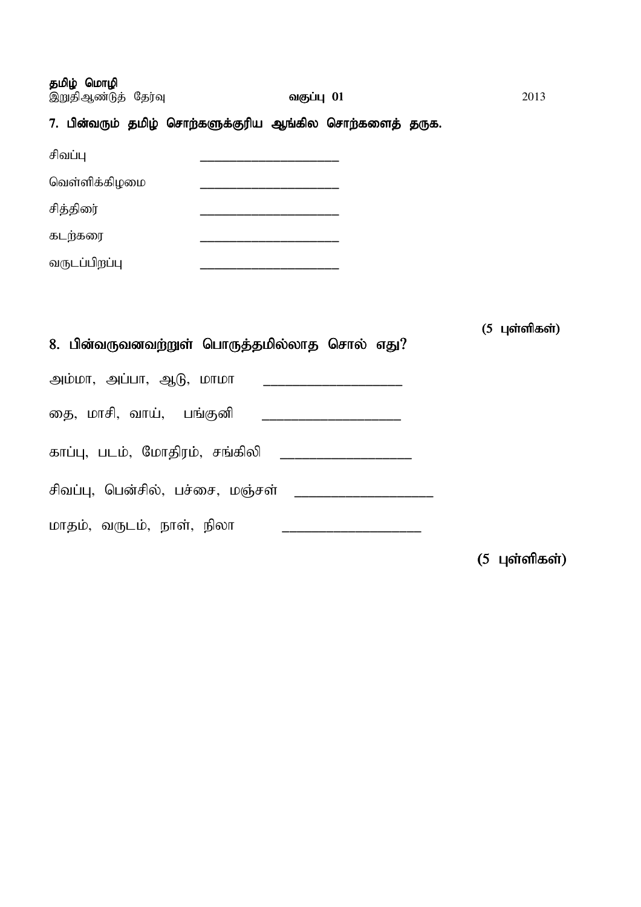தமிழ் மொழி

| இறுதிஆண்டுத் தேர்வு | வகுப்பு 01                                               | 2013 |
|---------------------|----------------------------------------------------------|------|
|                     | 7. பின்வரும் தமிழ் சொற்களுக்குரிய ஆங்கில சொற்களைத் தருக. |      |
| சிவப்பு             |                                                          |      |
| வெள்ளிக்கிழமை       |                                                          |      |
| சித்திரை            |                                                          |      |
| கடற்கரை             |                                                          |      |
| வருடப்பிறப்பு       |                                                          |      |
|                     |                                                          |      |

| 8. பின்வருவனவற்றுள் பொருத்தமில்லாத சொல் எது? | (5 புள்ளிகள்) |
|----------------------------------------------|---------------|
| அம்மா, அப்பா, ஆடு, மாமா                      |               |
| தை, மாசி, வாய், பங்குனி                      |               |
| காப்பு, படம், மோதிரம், சங்கிலி               |               |
| சிவப்பு, பென்சில், பச்சை, மஞ்சள்             |               |
| மாதம், வருடம், நாள், நிலா                    |               |
|                                              | (5 புள்ளிகள்) |